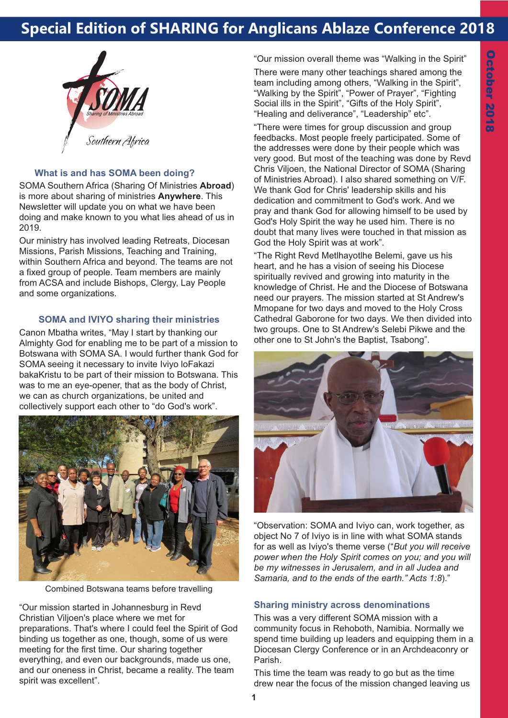# **Special Edition of SHARING for Anglicans Ablaze Conference 2018**



## **What is and has SOMA been doing?**

SOMA Southern Africa (Sharing Of Ministries **Abroad**) is more about sharing of ministries **Anywhere**. This Newsletter will update you on what we have been doing and make known to you what lies ahead of us in 2019.

Our ministry has involved leading Retreats, Diocesan Missions, Parish Missions, Teaching and Training, within Southern Africa and beyond. The teams are not a fixed group of people. Team members are mainly from ACSA and include Bishops, Clergy, Lay People and some organizations.

#### **SOMA and IVIYO sharing their ministries**

Canon Mbatha writes, "May I start by thanking our Almighty God for enabling me to be part of a mission to Botswana with SOMA SA. I would further thank God for SOMA seeing it necessary to invite Iviyo loFakazi bakaKristu to be part of their mission to Botswana. This was to me an eye-opener, that as the body of Christ, we can as church organizations, be united and collectively support each other to "do God's work".



Combined Botswana teams before travelling

"Our mission started in Johannesburg in Revd Christian Viljoen's place where we met for preparations. That's where I could feel the Spirit of God binding us together as one, though, some of us were meeting for the first time. Our sharing together everything, and even our backgrounds, made us one, and our oneness in Christ, became a reality. The team spirit was excellent".

"Our mission overall theme was "Walking in the Spirit"

There were many other teachings shared among the team including among others, "Walking in the Spirit", "Walking by the Spirit", "Power of Prayer", "Fighting Social ills in the Spirit", "Gifts of the Holy Spirit". "Healing and deliverance", "Leadership" etc".

"There were times for group discussion and group feedbacks. Most people freely participated. Some of the addresses were done by their people which was very good. But most of the teaching was done by Revd Chris Viljoen, the National Director of SOMA (Sharing of Ministries Abroad). I also shared something on V/F. We thank God for Chris' leadership skills and his dedication and commitment to God's work. And we pray and thank God for allowing himself to be used by God's Holy Spirit the way he used him. There is no doubt that many lives were touched in that mission as God the Holy Spirit was at work".

"The Right Revd Metlhayotlhe Belemi, gave us his heart, and he has a vision of seeing his Diocese spiritually revived and growing into maturity in the knowledge of Christ. He and the Diocese of Botswana need our prayers. The mission started at St Andrew's Mmopane for two days and moved to the Holy Cross Cathedral Gaborone for two days. We then divided into two groups. One to St Andrew's Selebi Pikwe and the other one to St John's the Baptist, Tsabong".



"Observation: SOMA and Iviyo can, work together, as object No 7 of Iviyo is in line with what SOMA stands for as well as Iviyo's theme verse ("*But you will receive power when the Holy Spirit comes on you; and you will be my witnesses in Jerusalem, and in all Judea and Samaria, and to the ends of the earth." Acts 1:8*)."

#### **Sharing ministry across denominations**

This was a very different SOMA mission with a community focus in Rehoboth, Namibia. Normally we spend time building up leaders and equipping them in a Diocesan Clergy Conference or in an Archdeaconry or Parish.

This time the team was ready to go but as the time drew near the focus of the mission changed leaving us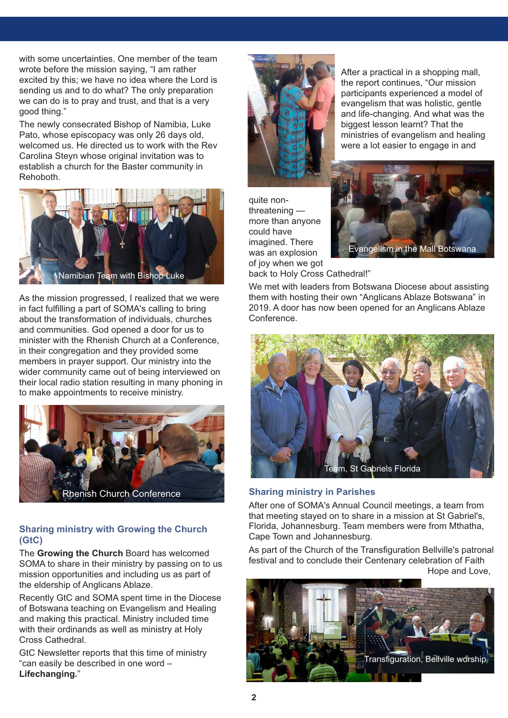with some uncertainties. One member of the team wrote before the mission saying, "I am rather excited by this; we have no idea where the Lord is sending us and to do what? The only preparation we can do is to pray and trust, and that is a very good thing."

The newly consecrated Bishop of Namibia, Luke Pato, whose episcopacy was only 26 days old, welcomed us. He directed us to work with the Rev Carolina Steyn whose original invitation was to establish a church for the Baster community in Rehoboth.



As the mission progressed, I realized that we were in fact fulfilling a part of SOMA's calling to bring about the transformation of individuals, churches and communities. God opened a door for us to minister with the Rhenish Church at a Conference, in their congregation and they provided some members in prayer support. Our ministry into the wider community came out of being interviewed on their local radio station resulting in many phoning in to make appointments to receive ministry.



# **Sharing ministry with Growing the Church (GtC)**

The **Growing the Church** Board has welcomed SOMA to share in their ministry by passing on to us mission opportunities and including us as part of the eldership of Anglicans Ablaze.

Recently GtC and SOMA spent time in the Diocese of Botswana teaching on Evangelism and Healing and making this practical. Ministry included time with their ordinands as well as ministry at Holy Cross Cathedral.

GtC Newsletter reports that this time of ministry "can easily be described in one word – **Lifechanging.**"



After a practical in a shopping mall, the report continues, "Our mission participants experienced a model of evangelism that was holistic, gentle and life-changing. And what was the biggest lesson learnt? That the ministries of evangelism and healing were a lot easier to engage in and

quite nonthreatening more than anyone could have imagined. There was an explosion of joy when we got



back to Holy Cross Cathedral!"

We met with leaders from Botswana Diocese about assisting them with hosting their own "Anglicans Ablaze Botswana" in 2019. A door has now been opened for an Anglicans Ablaze Conference.



# **Sharing ministry in Parishes**

After one of SOMA's Annual Council meetings, a team from that meeting stayed on to share in a mission at St Gabriel's, Florida, Johannesburg. Team members were from Mthatha, Cape Town and Johannesburg.

As part of the Church of the Transfiguration Bellville's patronal festival and to conclude their Centenary celebration of Faith Hope and Love,

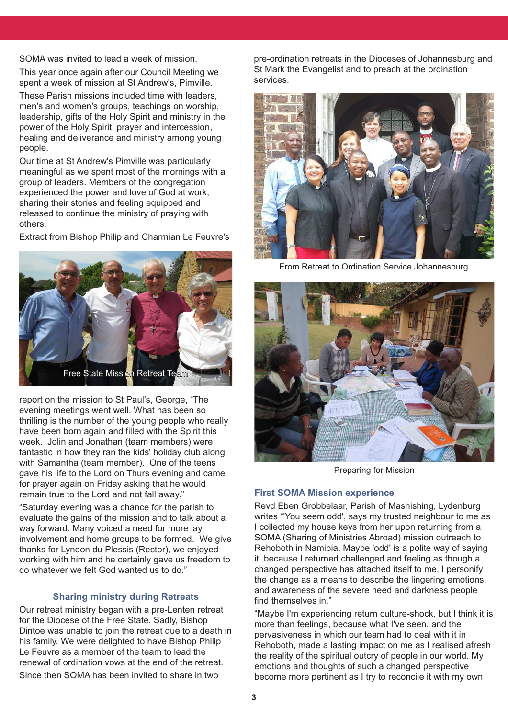SOMA was invited to lead a week of mission.

This year once again after our Council Meeting we spent a week of mission at St Andrew's, Pimville.

These Parish missions included time with leaders, men's and women's groups, teachings on worship, leadership, gifts of the Holy Spirit and ministry in the power of the Holy Spirit, prayer and intercession, healing and deliverance and ministry among young people.

Our time at St Andrew's Pimville was particularly meaningful as we spent most of the mornings with a group of leaders. Members of the congregation experienced the power and love of God at work, sharing their stories and feeling equipped and released to continue the ministry of praying with others.

Extract from Bishop Philip and Charmian Le Feuvre's



report on the mission to St Paul's, George, "The evening meetings went well. What has been so thrilling is the number of the young people who really have been born again and filled with the Spirit this week. Jolin and Jonathan (team members) were fantastic in how they ran the kids' holiday club along with Samantha (team member). One of the teens gave his life to the Lord on Thurs evening and came for prayer again on Friday asking that he would remain true to the Lord and not fall away."

"Saturday evening was a chance for the parish to evaluate the gains of the mission and to talk about a way forward. Many voiced a need for more lay involvement and home groups to be formed. We give thanks for Lyndon du Plessis (Rector), we enjoyed working with him and he certainly gave us freedom to do whatever we felt God wanted us to do."

#### **Sharing ministry during Retreats**

Our retreat ministry began with a pre-Lenten retreat for the Diocese of the Free State. Sadly, Bishop Dintoe was unable to join the retreat due to a death in his family. We were delighted to have Bishop Philip Le Feuvre as a member of the team to lead the renewal of ordination vows at the end of the retreat. Since then SOMA has been invited to share in two

pre-ordination retreats in the Dioceses of Johannesburg and St Mark the Evangelist and to preach at the ordination services.



From Retreat to Ordination Service Johannesburg



Preparing for Mission

### **First SOMA Mission experience**

Revd Eben Grobbelaar, Parish of Mashishing, Lydenburg writes "'You seem odd', says my trusted neighbour to me as I collected my house keys from her upon returning from a SOMA (Sharing of Ministries Abroad) mission outreach to Rehoboth in Namibia. Maybe 'odd' is a polite way of saying it, because I returned challenged and feeling as though a changed perspective has attached itself to me. I personify the change as a means to describe the lingering emotions, and awareness of the severe need and darkness people find themselves in."

"Maybe I'm experiencing return culture-shock, but I think it is more than feelings, because what I've seen, and the pervasiveness in which our team had to deal with it in Rehoboth, made a lasting impact on me as I realised afresh the reality of the spiritual outcry of people in our world. My emotions and thoughts of such a changed perspective become more pertinent as I try to reconcile it with my own